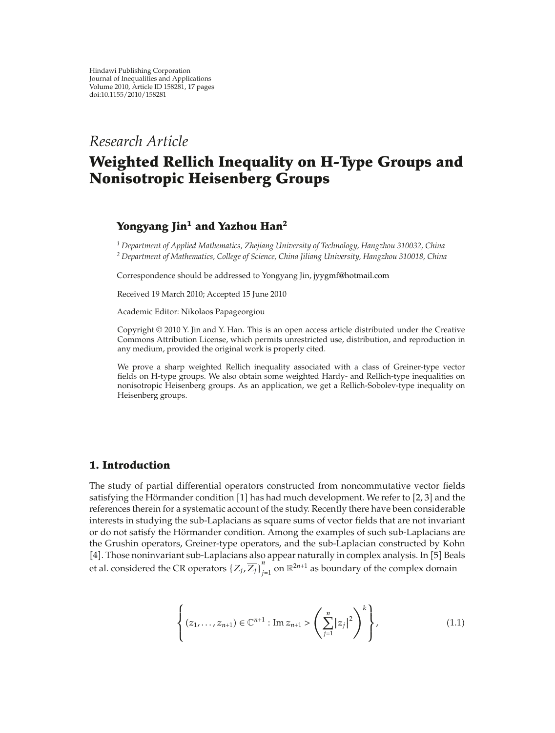## *Research Article*

# **Weighted Rellich Inequality on H-Type Groups and Nonisotropic Heisenberg Groups**

## **Yongyang Jin<sup>1</sup> and Yazhou Han2**

*<sup>1</sup> Department of Applied Mathematics, Zhejiang University of Technology, Hangzhou 310032, China <sup>2</sup> Department of Mathematics, College of Science, China Jiliang University, Hangzhou 310018, China*

Correspondence should be addressed to Yongyang Jin, jyygmf@hotmail.com

Received 19 March 2010; Accepted 15 June 2010

Academic Editor: Nikolaos Papageorgiou

Copyright  $\odot$  2010 Y. Jin and Y. Han. This is an open access article distributed under the Creative Commons Attribution License, which permits unrestricted use, distribution, and reproduction in any medium, provided the original work is properly cited.

We prove a sharp weighted Rellich inequality associated with a class of Greiner-type vector fields on H-type groups. We also obtain some weighted Hardy- and Rellich-type inequalities on nonisotropic Heisenberg groups. As an application, we get a Rellich-Sobolev-type inequality on Heisenberg groups.

#### **1. Introduction**

The study of partial differential operators constructed from noncommutative vector fields satisfying the Hörmander condition  $[1]$  has had much development. We refer to  $[2, 3]$  and the references therein for a systematic account of the study. Recently there have been considerable interests in studying the sub-Laplacians as square sums of vector fields that are not invariant or do not satisfy the Hörmander condition. Among the examples of such sub-Laplacians are the Grushin operators, Greiner-type operators, and the sub-Laplacian constructed by Kohn [4]. Those noninvariant sub-Laplacians also appear naturally in complex analysis. In [5] Beals et al. considered the CR operators  $\{Z_j, \overline{Z_j}\}_{j=1}^n$  on  $\mathbb{R}^{2n+1}$  as boundary of the complex domain

$$
\left\{ (z_1, \ldots, z_{n+1}) \in \mathbb{C}^{n+1} : \text{Im } z_{n+1} > \left( \sum_{j=1}^n |z_j|^2 \right)^k \right\},
$$
\n(1.1)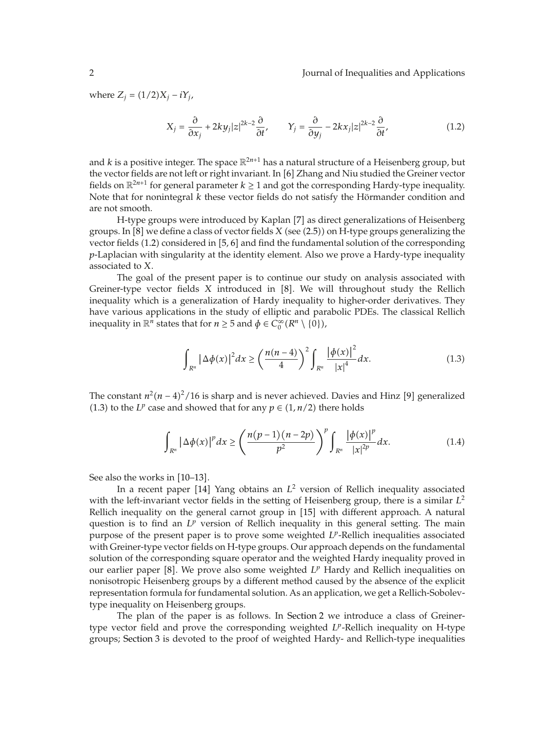where  $Z_j = (1/2)X_j - iY_j$ ,

$$
X_j = \frac{\partial}{\partial x_j} + 2ky_j |z|^{2k-2} \frac{\partial}{\partial t'}, \qquad Y_j = \frac{\partial}{\partial y_j} - 2kx_j |z|^{2k-2} \frac{\partial}{\partial t'}, \tag{1.2}
$$

and *k* is a positive integer. The space  $\mathbb{R}^{2n+1}$  has a natural structure of a Heisenberg group, but the vector fields are not left or right invariant. In [6] Zhang and Niu studied the Greiner vector fields on  $\mathbb{R}^{2n+1}$  for general parameter  $k \ge 1$  and got the corresponding Hardy-type inequality. Note that for nonintegral *k* these vector fields do not satisfy the Hörmander condition and are not smooth.

H-type groups were introduced by Kaplan [7] as direct generalizations of Heisenberg groups. In  $[8]$  we define a class of vector fields *X* (see  $(2.5)$ ) on H-type groups generalizing the vector fields  $(1.2)$  considered in  $[5, 6]$  and find the fundamental solution of the corresponding *p*-Laplacian with singularity at the identity element. Also we prove a Hardy-type inequality associated to *X*.

The goal of the present paper is to continue our study on analysis associated with Greiner-type vector fields *X* introduced in [8]. We will throughout study the Rellich inequality which is a generalization of Hardy inequality to higher-order derivatives. They have various applications in the study of elliptic and parabolic PDEs. The classical Rellich inequality in  $\mathbb{R}^n$  states that for  $n \geq 5$  and  $\phi \in C_0^{\infty}(R^n \setminus \{0\})$ ,

$$
\int_{R^n} |\Delta \phi(x)|^2 dx \ge \left(\frac{n(n-4)}{4}\right)^2 \int_{R^n} \frac{|\phi(x)|^2}{|x|^4} dx.
$$
 (1.3)

The constant  $n^2(n-4)^2/16$  is sharp and is never achieved. Davies and Hinz [9] generalized (1.3) to the *L<sup>p</sup>* case and showed that for any  $p \in (1, n/2)$  there holds

$$
\int_{R^n} |\Delta \phi(x)|^p dx \ge \left(\frac{n(p-1)(n-2p)}{p^2}\right)^p \int_{R^n} \frac{|\phi(x)|^p}{|x|^{2p}} dx.
$$
 (1.4)

See also the works in [10–13].

In a recent paper [14] Yang obtains an  $L^2$  version of Rellich inequality associated with the left-invariant vector fields in the setting of Heisenberg group, there is a similar *L*<sup>2</sup> Rellich inequality on the general carnot group in [15] with different approach. A natural question is to find an  $L^p$  version of Rellich inequality in this general setting. The main purpose of the present paper is to prove some weighted *Lp*-Rellich inequalities associated with Greiner-type vector fields on H-type groups. Our approach depends on the fundamental solution of the corresponding square operator and the weighted Hardy inequality proved in our earlier paper [8]. We prove also some weighted  $L<sup>p</sup>$  Hardy and Rellich inequalities on nonisotropic Heisenberg groups by a different method caused by the absence of the explicit representation formula for fundamental solution. As an application, we get a Rellich-Sobolevtype inequality on Heisenberg groups.

The plan of the paper is as follows. In Section 2 we introduce a class of Greinertype vector field and prove the corresponding weighted *L<sup>p</sup>*-Rellich inequality on H-type groups; Section 3 is devoted to the proof of weighted Hardy- and Rellich-type inequalities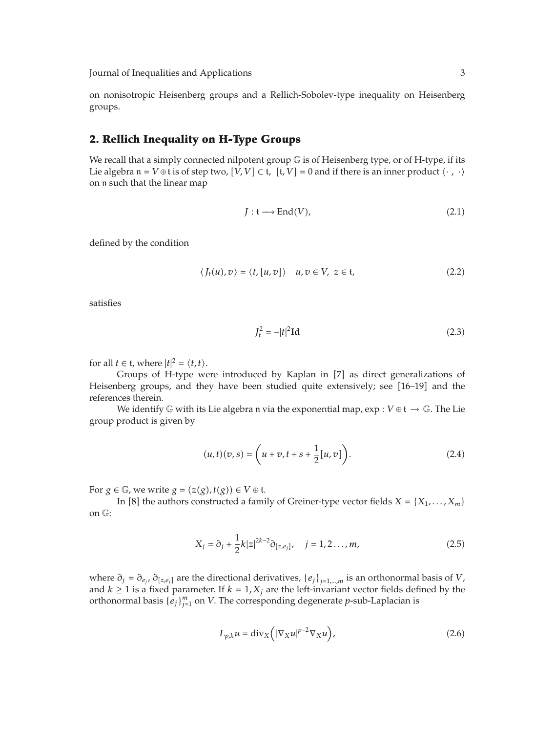on nonisotropic Heisenberg groups and a Rellich-Sobolev-type inequality on Heisenberg groups.

#### **2. Rellich Inequality on H-Type Groups**

We recall that a simply connected nilpotent group  $\mathbb G$  is of Heisenberg type, or of H-type, if its Lie algebra  $\mathfrak{n} = V \oplus \mathfrak{t}$  is of step two,  $[V, V] \subset \mathfrak{t}$ ,  $[t, V] = 0$  and if there is an inner product  $\langle \cdot, \cdot \rangle$ on n such that the linear map

$$
J: \mathfrak{t} \longrightarrow \text{End}(V),\tag{2.1}
$$

defined by the condition

$$
\langle J_t(u), v \rangle = \langle t, [u, v] \rangle \quad u, v \in V, \ z \in \mathfrak{t}, \tag{2.2}
$$

satisfies

$$
J_t^2 = -|t|^2 \mathbf{Id} \tag{2.3}
$$

for all  $t \in \mathfrak{t}$ , where  $|t|^2 = \langle t, t \rangle$ .

Groups of H-type were introduced by Kaplan in [7] as direct generalizations of Heisenberg groups, and they have been studied quite extensively; see [16-19] and the references therein.

We identify  $\mathbb G$  with its Lie algebra n via the exponential map,  $\exp : V \oplus \mathfrak t \to \mathbb G$ . The Lie group product is given by

$$
(u,t)(v,s) = \left(u+v, t+s+\frac{1}{2}[u,v]\right).
$$
 (2.4)

For  $g \in \mathbb{G}$ , we write  $g = (z(g), t(g)) \in V \oplus \mathfrak{t}$ .

In [8] the authors constructed a family of Greiner-type vector fields  $X = \{X_1, \ldots, X_m\}$ on G:

$$
X_j = \partial_j + \frac{1}{2}k|z|^{2k-2}\partial_{[z,e_j]}, \quad j = 1, 2, ..., m,
$$
 (2.5)

where  $\partial_j = \partial_{e_j}$ ,  $\partial_{[z,e_j]}$  are the directional derivatives,  $\{e_j\}_{j=1,\dots,m}$  is an orthonormal basis of *V*, and  $k \ge 1$  is a fixed parameter. If  $k = 1, X_j$  are the left-invariant vector fields defined by the orthonormal basis  ${e_j}\big|_{j=1}^m$  on *V*. The corresponding degenerate *p*-sub-Laplacian is

$$
L_{p,k}u = \text{div}_X\left(|\nabla_X u|^{p-2}\nabla_X u\right),\tag{2.6}
$$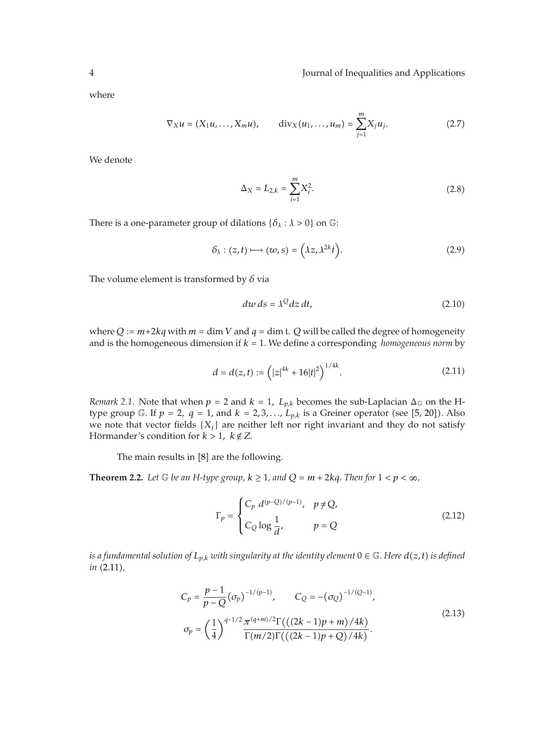where

$$
\nabla_X u = (X_1 u, \dots, X_m u), \qquad \text{div}_X (u_1, \dots, u_m) = \sum_{j=1}^m X_j u_j. \tag{2.7}
$$

We denote

$$
\Delta_X = L_{2,k} = \sum_{i=1}^{m} X_i^2.
$$
\n(2.8)

There is a one-parameter group of dilations  $\{\delta_{\lambda} : \lambda > 0\}$  on  $\mathbb{G}$ :

$$
\delta_{\lambda}: (z,t) \longmapsto (w,s) = \left(\lambda z, \lambda^{2k} t\right). \tag{2.9}
$$

The volume element is transformed by *δ* via

$$
dw ds = \lambda^Q dz dt, \qquad (2.10)
$$

where  $Q := m+2kq$  with  $m = \dim V$  and  $q = \dim t$ . Q will be called the degree of homogeneity and is the homogeneous dimension if  $k = 1$ . We define a corresponding *homogeneous norm* by

$$
d = d(z, t) := (|z|^{4k} + 16|t|^2)^{1/4k}.
$$
 (2.11)

*Remark 2.1.* Note that when  $p = 2$  and  $k = 1$ ,  $L_{p,k}$  becomes the sub-Laplacian  $\Delta_{\mathbb{G}}$  on the Htype group G. If  $p = 2$ ,  $q = 1$ , and  $k = 2, 3, \ldots, L_{p,k}$  is a Greiner operator (see [5, 20]). Also we note that vector fields  $\{X_i\}$  are neither left nor right invariant and they do not satisfy Hörmander's condition for  $k > 1$ ,  $k \notin \mathbb{Z}$ .

The main results in  $[8]$  are the following.

**Theorem 2.2.** Let  $\mathbb G$  be an H-type group,  $k \geq 1$ , and  $Q = m + 2kq$ . Then for  $1 < p < \infty$ ,

$$
\Gamma_p = \begin{cases}\nC_p \ d^{(p-Q)/(p-1)}, & p \neq Q, \\
C_Q \log \frac{1}{d'}, & p = Q\n\end{cases}
$$
\n(2.12)

*is a fundamental solution of*  $L_{p,k}$  *with singularity at the identity element*  $0 \in \mathbb{G}$ *. Here*  $d(z, t)$  *is defined in*  $(2.11)$ *,* 

$$
C_p = \frac{p-1}{p-Q} (\sigma_p)^{-1/(p-1)}, \qquad C_Q = -(\sigma_Q)^{-1/(Q-1)},
$$
  

$$
\sigma_p = \left(\frac{1}{4}\right)^{q-1/2} \frac{\pi^{(q+m)/2} \Gamma\left(\left((2k-1)p+m\right)/4k\right)}{\Gamma(m/2) \Gamma\left(\left((2k-1)p+Q\right)/4k\right)}.
$$
 (2.13)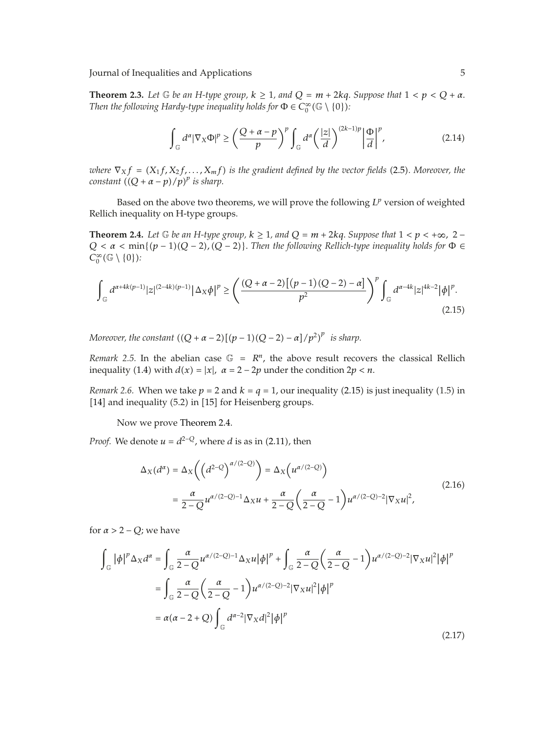**Theorem 2.3.** Let  $\mathbb G$  be an H-type group,  $k \geq 1$ , and  $Q = m + 2kq$ . Suppose that  $1 < p < Q + \alpha$ . *Then the following Hardy-type inequality holds for*  $\Phi \in C_0^{\infty}(\mathbb{G} \setminus \{0\})$ :

$$
\int_{\mathbb{G}} d^{\alpha} |\nabla_{X} \Phi|^{p} \ge \left(\frac{Q+\alpha-p}{p}\right)^{p} \int_{\mathbb{G}} d^{\alpha} \left(\frac{|z|}{d}\right)^{(2k-1)p} \left|\frac{\Phi}{d}\right|^{p},\tag{2.14}
$$

*where*  $\nabla_X f = (X_1 f, X_2 f, \dots, X_m f)$  *is the gradient defined by the vector fields* (2.5). Moreover, the *constant*  $((Q + \alpha - p)/p)^p$  *is sharp.* 

Based on the above two theorems, we will prove the following *Lp* version of weighted Rellich inequality on H-type groups.

**Theorem 2.4.** Let  $\mathbb G$  be an H-type group,  $k \geq 1$ , and  $Q = m + 2kq$ . Suppose that  $1 < p < +\infty$ , 2 –  $Q < \alpha < \min\{(p-1)(Q-2), (Q-2)\}\$ . Then the following Rellich-type inequality holds for  $\Phi \in$  $C_0^{\infty}(\mathbb{G} \setminus \{0\})$ :

$$
\int_{\mathbb{G}} d^{\alpha+4k(p-1)} |z|^{(2-4k)(p-1)} |\Delta_X \phi|^p \ge \left( \frac{(Q+\alpha-2) \left[ (p-1)(Q-2) - \alpha \right]}{p^2} \right)^p \int_{\mathbb{G}} d^{\alpha-4k} |z|^{4k-2} |\phi|^p. \tag{2.15}
$$

*Moreover, the constant*  $((Q + \alpha - 2)[(p - 1)(Q - 2) - \alpha]/p^2)^p$  *is sharp.* 

*Remark* 2.5. In the abelian case  $\mathbb{G} = \mathbb{R}^n$ , the above result recovers the classical Rellich inequality (1.4) with  $d(x) = |x|$ ,  $\alpha = 2 - 2p$  under the condition  $2p < n$ .

*Remark* 2.6. When we take  $p = 2$  and  $k = q = 1$ , our inequality (2.15) is just inequality (1.5) in [14] and inequality  $(5.2)$  in [15] for Heisenberg groups.

Now we prove Theorem 2.4.

*Proof.* We denote  $u = d^{2-Q}$ , where *d* is as in (2.11), then

$$
\Delta_X(d^{\alpha}) = \Delta_X\left(\left(d^{2-Q}\right)^{\alpha/(2-Q)}\right) = \Delta_X\left(u^{\alpha/(2-Q)}\right)
$$
  
= 
$$
\frac{\alpha}{2-Q}u^{\alpha/(2-Q)-1}\Delta_X u + \frac{\alpha}{2-Q}\left(\frac{\alpha}{2-Q}-1\right)u^{\alpha/(2-Q)-2}|\nabla_X u|^2,
$$
 (2.16)

for  $\alpha > 2 - Q$ ; we have

$$
\int_{\mathbb{G}} |\phi|^p \Delta_X d^{\alpha} = \int_{\mathbb{G}} \frac{\alpha}{2 - Q} u^{\alpha/(2 - Q) - 1} \Delta_X u |\phi|^p + \int_{\mathbb{G}} \frac{\alpha}{2 - Q} \left( \frac{\alpha}{2 - Q} - 1 \right) u^{\alpha/(2 - Q) - 2} |\nabla_X u|^2 |\phi|^p
$$

$$
= \int_{\mathbb{G}} \frac{\alpha}{2 - Q} \left( \frac{\alpha}{2 - Q} - 1 \right) u^{\alpha/(2 - Q) - 2} |\nabla_X u|^2 |\phi|^p
$$

$$
= \alpha(\alpha - 2 + Q) \int_{\mathbb{G}} d^{\alpha - 2} |\nabla_X d|^2 |\phi|^p
$$
(2.17)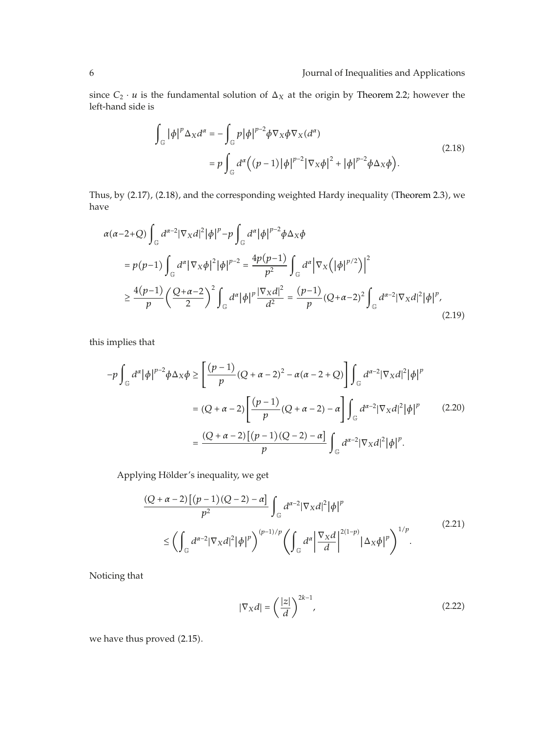since  $C_2 \cdot u$  is the fundamental solution of  $\Delta_X$  at the origin by Theorem 2.2; however the left-hand side is

$$
\int_{\mathbb{G}} |\phi|^{p} \Delta_{X} d^{\alpha} = -\int_{\mathbb{G}} p |\phi|^{p-2} \phi \nabla_{X} \phi \nabla_{X} (d^{\alpha})
$$
\n
$$
= p \int_{\mathbb{G}} d^{\alpha} \Big( (p-1) |\phi|^{p-2} |\nabla_{X} \phi|^{2} + |\phi|^{p-2} \phi \Delta_{X} \phi \Big). \tag{2.18}
$$

Thus, by (2.17), (2.18), and the corresponding weighted Hardy inequality (Theorem 2.3), we have

$$
\alpha(\alpha-2+Q)\int_{\mathbb{G}}d^{\alpha-2}|\nabla_{X}d|^{2}|\phi|^{p}-p\int_{\mathbb{G}}d^{\alpha}|\phi|^{p-2}\phi\Delta_{X}\phi
$$
\n
$$
=p(p-1)\int_{\mathbb{G}}d^{\alpha}|\nabla_{X}\phi|^{2}|\phi|^{p-2}=\frac{4p(p-1)}{p^{2}}\int_{\mathbb{G}}d^{\alpha}|\nabla_{X}(|\phi|^{p/2})|^{2}
$$
\n
$$
\geq \frac{4(p-1)}{p}\left(\frac{Q+\alpha-2}{2}\right)^{2}\int_{\mathbb{G}}d^{\alpha}|\phi|^{p}\frac{|\nabla_{X}d|^{2}}{d^{2}}=\frac{(p-1)}{p}(Q+\alpha-2)^{2}\int_{\mathbb{G}}d^{\alpha-2}|\nabla_{X}d|^{2}|\phi|^{p},\tag{2.19}
$$

this implies that

$$
-p \int_{\mathbb{G}} d^{\alpha} |\phi|^{p-2} \phi \Delta_X \phi \ge \left[ \frac{(p-1)}{p} (Q + \alpha - 2)^2 - \alpha (\alpha - 2 + Q) \right] \int_{\mathbb{G}} d^{\alpha - 2} |\nabla_X d|^2 |\phi|^p
$$
  

$$
= (Q + \alpha - 2) \left[ \frac{(p-1)}{p} (Q + \alpha - 2) - \alpha \right] \int_{\mathbb{G}} d^{\alpha - 2} |\nabla_X d|^2 |\phi|^p \qquad (2.20)
$$
  

$$
= \frac{(Q + \alpha - 2) [(p-1)(Q - 2) - \alpha]}{p} \int_{\mathbb{G}} d^{\alpha - 2} |\nabla_X d|^2 |\phi|^p.
$$

Applying Hölder's inequality, we get

$$
\frac{(Q+\alpha-2)\left[(p-1)(Q-2)-\alpha\right]}{p^2}\int_{\mathbb{G}}d^{\alpha-2}|\nabla_{X}d|^{2}|\phi|^{p}
$$
\n
$$
\leq \left(\int_{\mathbb{G}}d^{\alpha-2}|\nabla_{X}d|^{2}|\phi|^{p}\right)^{(p-1)/p}\left(\int_{\mathbb{G}}d^{\alpha}\left|\frac{\nabla_{X}d}{d}\right|^{2(1-p)}|\Delta_{X}\phi|^{p}\right)^{1/p}.\tag{2.21}
$$

Noticing that

$$
|\nabla_X d| = \left(\frac{|z|}{d}\right)^{2k-1},\tag{2.22}
$$

we have thus proved (2.15).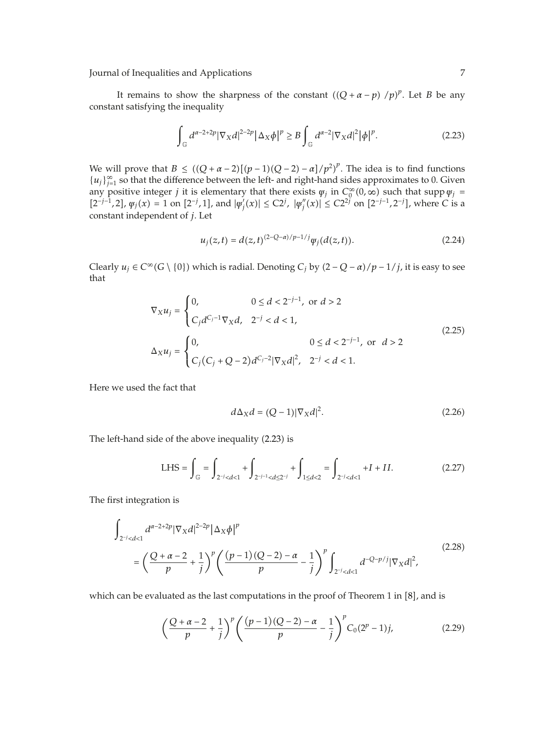It remains to show the sharpness of the constant  $((Q + \alpha - p) / p)^p$ . Let *B* be any constant satisfying the inequality

$$
\int_{\mathbb{G}} d^{\alpha-2+2p} |\nabla_X d|^{2-2p} |\Delta_X \phi|^p \ge B \int_{\mathbb{G}} d^{\alpha-2} |\nabla_X d|^2 |\phi|^p. \tag{2.23}
$$

We will prove that  $B \le ((Q + \alpha - 2)[(p - 1)(Q - 2) - \alpha]/p^2)^p$ . The idea is to find functions  ${u_j}_{j=1}^{\infty}$  so that the difference between the left- and right-hand sides approximates to 0. Given any positive integer *j* it is elementary that there exists  $\psi_j$  in  $C_0^{\infty}(0, \infty)$  such that supp  $\psi_j =$  $[2^{-j-1},2]$ ,  $\varphi_j(x) = 1$  on  $[2^{-j},1]$ , and  $|\varphi'_j(x)| \le C2^j$ ,  $|\varphi''_j(x)| \le C2^{2j}$  on  $[2^{-j-1},2^{-j}]$ , where C is a constant independent of *j*. Let

$$
u_j(z,t) = d(z,t)^{(2-Q-\alpha)/p-1/j} \psi_j(d(z,t)).
$$
\n(2.24)

*Clearly*  $u_j$  ∈ *C*∞*(G* \ {0}) which is radial. Denoting *C<sub>j</sub>* by  $(2 - Q - \alpha)/p - 1/j$ , it is easy to see that

$$
\nabla_X u_j = \begin{cases}\n0, & 0 \le d < 2^{-j-1}, \text{ or } d > 2 \\
C_j d^{C_j - 1} \nabla_X d, & 2^{-j} < d < 1,\n\end{cases}
$$
\n
$$
\Delta_X u_j = \begin{cases}\n0, & 0 \le d < 2^{-j-1}, \text{ or } d > 2 \\
C_j (C_j + Q - 2) d^{C_j - 2} |\nabla_X d|^2, & 2^{-j} < d < 1.\n\end{cases}
$$
\n(2.25)

Here we used the fact that

$$
d\Delta_X d = (Q-1)|\nabla_X d|^2. \tag{2.26}
$$

The left-hand side of the above inequality (2.23) is

LHS = 
$$
\int_{\mathbb{G}} = \int_{2^{-j} < d < 1} + \int_{2^{-j-1} < d \le 2^{-j}} + \int_{1 \le d < 2} = \int_{2^{-j} < d < 1} + I + II.
$$
 (2.27)

The first integration is

$$
\int_{2^{-j} < d < 1} d^{\alpha - 2 + 2p} |\nabla_X d|^{2 - 2p} |\Delta_X \phi|^p
$$
\n
$$
= \left( \frac{Q + \alpha - 2}{p} + \frac{1}{j} \right)^p \left( \frac{(p - 1)(Q - 2) - \alpha}{p} - \frac{1}{j} \right)^p \int_{2^{-j} < d < 1} d^{-Q - p/j} |\nabla_X d|^2,
$$
\n(2.28)

which can be evaluated as the last computations in the proof of Theorem 1 in  $[8]$ , and is

$$
\left(\frac{Q+\alpha-2}{p}+\frac{1}{j}\right)^p \left(\frac{(p-1)(Q-2)-\alpha}{p}-\frac{1}{j}\right)^p C_0(2^p-1)j,\tag{2.29}
$$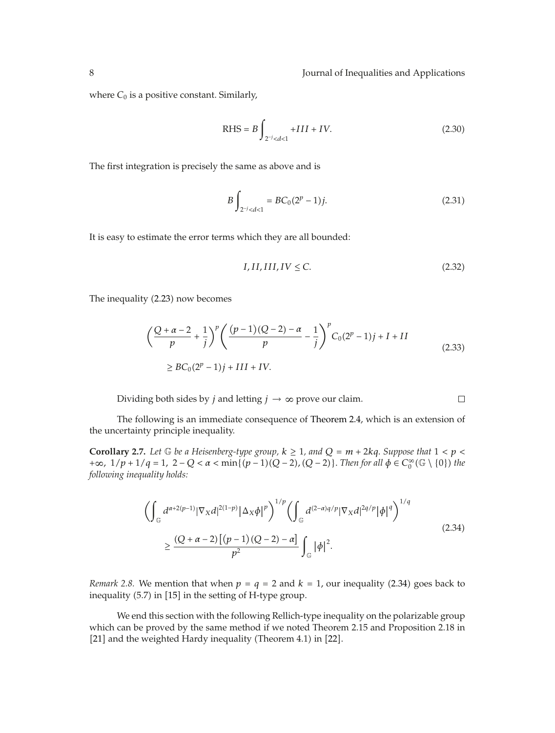where  $C_0$  is a positive constant. Similarly,

RHS = 
$$
B \int_{2^{-j} < d < 1} + III + IV.
$$
 (2.30)

The first integration is precisely the same as above and is

$$
B\int_{2^{-j} < d < 1} = BC_0(2^p - 1)j. \tag{2.31}
$$

It is easy to estimate the error terms which they are all bounded:

$$
I, II, III, IV \le C. \tag{2.32}
$$

The inequality (2.23) now becomes

$$
\left(\frac{Q+\alpha-2}{p}+\frac{1}{j}\right)^p \left(\frac{(p-1)(Q-2)-\alpha}{p}-\frac{1}{j}\right)^p C_0(2^p-1)j+I+II
$$
\n
$$
\ge BC_0(2^p-1)j+III+IV.
$$
\n(2.33)

Dividing both sides by *j* and letting  $j \rightarrow \infty$  prove our claim.  $\Box$ 

The following is an immediate consequence of Theorem 2.4, which is an extension of the uncertainty principle inequality.

**Corollary 2.7.** Let G be a Heisenberg-type group,  $k \ge 1$ , and  $Q = m + 2kq$ . Suppose that  $1 < p <$ *+∞*,  $1/p + 1/q = 1$ ,  $2 - Q < α < \min\{(p - 1)(Q - 2), (Q - 2)\}\)$ . *Then for all*  $\phi \in C_0^{\infty}(\mathbb{G} \setminus \{0\})$  *the following inequality holds:*

$$
\left(\int_{\mathbb{G}} d^{\alpha+2(p-1)} |\nabla_{X} d|^{2(1-p)} |\Delta_{X} \phi|^{p}\right)^{1/p} \left(\int_{\mathbb{G}} d^{(2-\alpha)q/p} |\nabla_{X} d|^{2q/p} |\phi|^{q}\right)^{1/q}
$$
\n
$$
\geq \frac{(Q+\alpha-2)\left[(p-1)(Q-2)-\alpha\right]}{p^{2}} \int_{\mathbb{G}} |\phi|^{2}.
$$
\n(2.34)

*Remark 2.8.* We mention that when  $p = q = 2$  and  $k = 1$ , our inequality (2.34) goes back to inequality  $(5.7)$  in  $[15]$  in the setting of H-type group.

We end this section with the following Rellich-type inequality on the polarizable group which can be proved by the same method if we noted Theorem 2*.*15 and Proposition 2*.*18 in [21] and the weighted Hardy inequality (Theorem 4.1) in [22].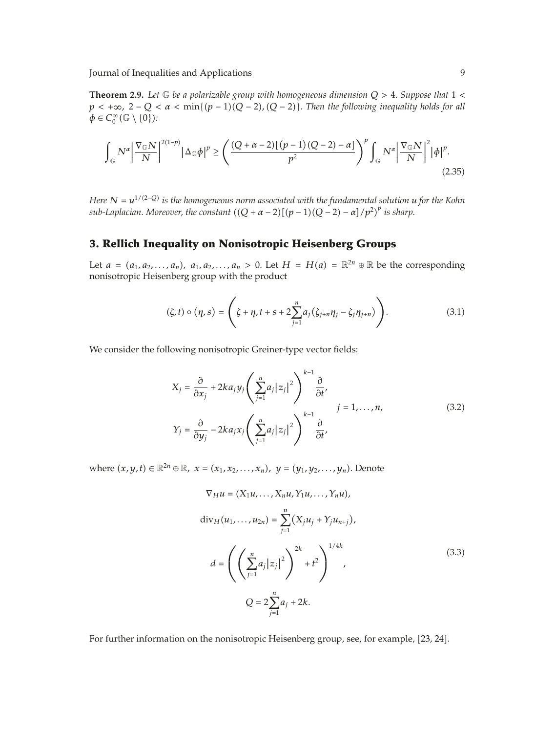**Theorem 2.9.** *Let* G *be a polarizable group with homogeneous dimension Q >* 4*. Suppose that* 1 *<*  $p < +\infty$ ,  $2 - Q < \alpha < \min\{(p-1)(Q-2), (Q-2)\}\)$ . Then the following inequality holds for all  $\phi \in C_0^{\infty}(\mathbb{G} \setminus \{0\})$ :

$$
\int_{\mathbb{G}} N^{\alpha} \left| \frac{\nabla_{\mathbb{G}} N}{N} \right|^{2(1-p)} |\Delta_{\mathbb{G}} \phi|^{p} \ge \left( \frac{(Q + \alpha - 2) \left[ (p - 1)(Q - 2) - \alpha \right]}{p^{2}} \right)^{p} \int_{\mathbb{G}} N^{\alpha} \left| \frac{\nabla_{\mathbb{G}} N}{N} \right|^{2} |\phi|^{p}.
$$
\n(2.35)

*Here*  $N = u^{1/(2-Q)}$  *is the homogeneous norm associated with the fundamental solution u for the Kohn sub-Laplacian. Moreover, the constant*  $((Q + \alpha - 2)[(p-1)(Q-2) - \alpha]/p^2)^p$  *is sharp.* 

### **3. Rellich Inequality on Nonisotropic Heisenberg Groups**

Let  $a = (a_1, a_2, \ldots, a_n)$ ,  $a_1, a_2, \ldots, a_n > 0$ . Let  $H = H(a) = \mathbb{R}^{2n} \oplus \mathbb{R}$  be the corresponding nonisotropic Heisenberg group with the product

$$
(\zeta, t) \circ (\eta, s) = \left( \zeta + \eta, t + s + 2 \sum_{j=1}^{n} a_j (\zeta_{j+n} \eta_j - \zeta_j \eta_{j+n}) \right). \tag{3.1}
$$

We consider the following nonisotropic Greiner-type vector fields:

$$
X_{j} = \frac{\partial}{\partial x_{j}} + 2ka_{j}y_{j} \left( \sum_{j=1}^{n} a_{j} |z_{j}|^{2} \right)^{k-1} \frac{\partial}{\partial t},
$$
  

$$
Y_{j} = \frac{\partial}{\partial y_{j}} - 2ka_{j}x_{j} \left( \sum_{j=1}^{n} a_{j} |z_{j}|^{2} \right)^{k-1} \frac{\partial}{\partial t},
$$
 (3.2)

*where*  $(x, y, t)$  ∈  $\mathbb{R}^{2n}$  ⊕  $\mathbb{R}$ *, x* =  $(x_1, x_2, ..., x_n)$ *, y* =  $(y_1, y_2, ..., y_n)$ *.* Denote

$$
\nabla_{H} u = (X_{1}u, ..., X_{n}u, Y_{1}u, ..., Y_{n}u),
$$
  
\n
$$
\text{div}_{H}(u_{1}, ..., u_{2n}) = \sum_{j=1}^{n} (X_{j}u_{j} + Y_{j}u_{n+j}),
$$
  
\n
$$
d = \left( \left( \sum_{j=1}^{n} a_{j} |z_{j}|^{2} \right)^{2k} + t^{2} \right)^{1/4k},
$$
  
\n
$$
Q = 2 \sum_{j=1}^{n} a_{j} + 2k.
$$
\n(3.3)

For further information on the nonisotropic Heisenberg group, see, for example, [23, 24].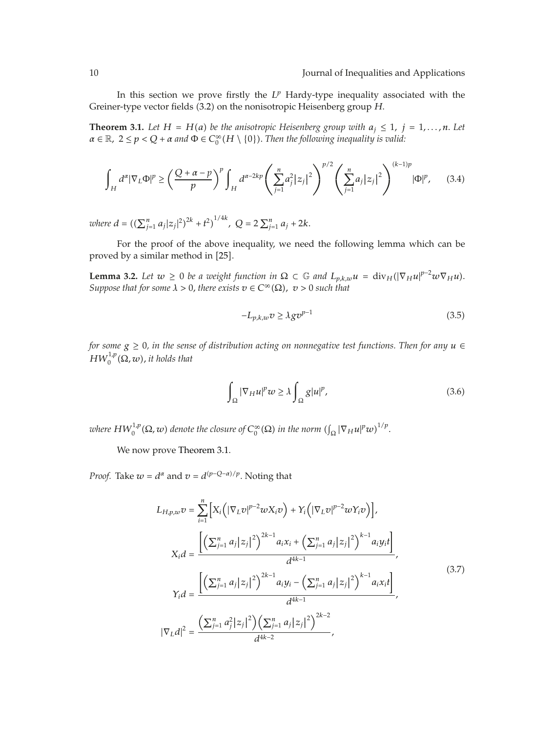In this section we prove firstly the *L<sup>p</sup>* Hardy-type inequality associated with the Greiner-type vector fields (3.2) on the nonisotropic Heisenberg group *H*.

**Theorem 3.1.** Let  $H = H(a)$  be the anisotropic Heisenberg group with  $a_j \leq 1$ ,  $j = 1, ..., n$ . Let  $\alpha \in \mathbb{R}$ ,  $2 \le p < Q + \alpha$  and  $\Phi \in C_0^{\infty}(H \setminus \{0\})$ . Then the following inequality is valid:

$$
\int_H d^{\alpha} |\nabla_L \Phi|^p \ge \left(\frac{Q+\alpha-p}{p}\right)^p \int_H d^{\alpha-2kp} \left(\sum_{j=1}^n a_j^2 |z_j|^2\right)^{p/2} \left(\sum_{j=1}^n a_j |z_j|^2\right)^{(k-1)p} |\Phi|^p, \tag{3.4}
$$

*where*  $d = \left( (\sum_{j=1}^n a_j |z_j|^2)^{2k} + t^2 \right)^{1/4k}$ ,  $Q = 2 \sum_{j=1}^n a_j + 2k$ .

For the proof of the above inequality, we need the following lemma which can be proved by a similar method in [25].

**Lemma 3.2.** *Let*  $w \ge 0$  *be a weight function in*  $\Omega \subset \mathbb{G}$  *and*  $L_{p,k,w}u = \text{div}_H(|\nabla_H u|^{p-2}w\nabla_H u)$ . *Suppose that for some*  $\lambda > 0$ , *there exists*  $v \in C^{\infty}(\Omega)$ ,  $v > 0$  *such that* 

$$
-L_{p,k,w}v \ge \lambda g v^{p-1} \tag{3.5}
$$

*for some g* ≥ 0*, in the sense of distribution acting on nonnegative test functions. Then for any u* ∈  $HW_0^{1,p}(\Omega,w)$ , it holds that

$$
\int_{\Omega} |\nabla_H u|^p w \ge \lambda \int_{\Omega} g |u|^p,\tag{3.6}
$$

where  $HW_0^{1,p}(\Omega,w)$  denote the closure of  $C_0^\infty(\Omega)$  in the norm  $(\int_\Omega |\nabla_H u|^p w)^{1/p}.$ 

We now prove Theorem 3.1.

*Proof.* Take  $w = d^{\alpha}$  and  $v = d^{(p-Q-\alpha)/p}$ . Noting that

$$
L_{H,p,w}v = \sum_{i=1}^{n} \Big[ X_i \Big( |\nabla_L v|^{p-2} w X_i v \Big) + Y_i \Big( |\nabla_L v|^{p-2} w Y_i v \Big) \Big],
$$
  
\n
$$
X_i d = \frac{\Big[ \Big( \sum_{j=1}^{n} a_j |z_j|^2 \Big)^{2k-1} a_i x_i + \Big( \sum_{j=1}^{n} a_j |z_j|^2 \Big)^{k-1} a_i y_i t \Big]}{d^{4k-1}},
$$
  
\n
$$
Y_i d = \frac{\Big[ \Big( \sum_{j=1}^{n} a_j |z_j|^2 \Big)^{2k-1} a_i y_i - \Big( \sum_{j=1}^{n} a_j |z_j|^2 \Big)^{k-1} a_i x_i t \Big]}{d^{4k-1}},
$$
  
\n
$$
|\nabla_L d|^2 = \frac{\Big( \sum_{j=1}^{n} a_j^2 |z_j|^2 \Big) \Big( \sum_{j=1}^{n} a_j |z_j|^2 \Big)^{2k-2}}{d^{4k-2}},
$$
  
\n(3.7)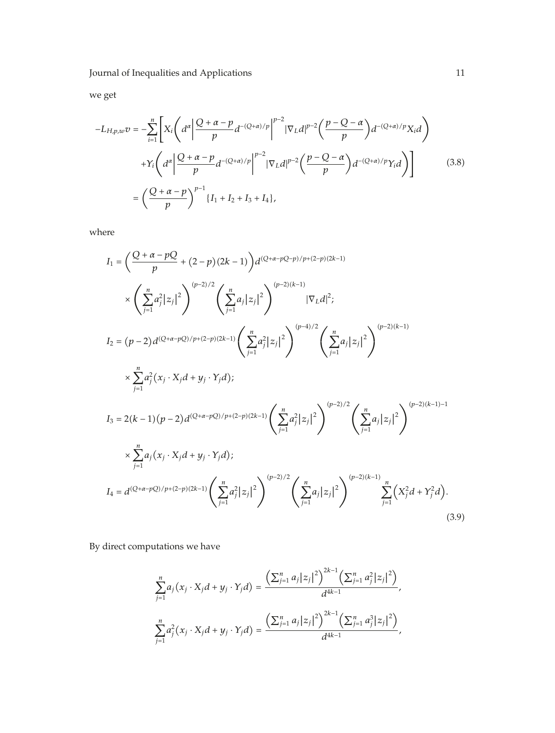we get

$$
-L_{H,p,w}v = -\sum_{i=1}^{n} \left[ X_i \left( d^{\alpha} \left| \frac{Q + \alpha - p}{p} d^{-(Q + \alpha)/p} \right|^{p-2} |\nabla_L d|^{p-2} \left( \frac{p - Q - \alpha}{p} \right) d^{-(Q + \alpha)/p} X_i d \right) \right.
$$

$$
+ Y_i \left( d^{\alpha} \left| \frac{Q + \alpha - p}{p} d^{-(Q + \alpha)/p} \right|^{p-2} |\nabla_L d|^{p-2} \left( \frac{p - Q - \alpha}{p} \right) d^{-(Q + \alpha)/p} Y_i d \right) \right]
$$
(3.8)
$$
= \left( \frac{Q + \alpha - p}{p} \right)^{p-1} \{ I_1 + I_2 + I_3 + I_4 \},
$$

where

$$
I_{1} = \left(\frac{Q + \alpha - pQ}{p} + (2 - p)(2k - 1)\right) d^{(Q + \alpha - pQ - p)/p + (2 - p)(2k - 1)}
$$
\n
$$
\times \left(\sum_{j=1}^{n} a_{j}^{2} |z_{j}|^{2}\right)^{(p-2)/2} \left(\sum_{j=1}^{n} a_{j} |z_{j}|^{2}\right)^{(p-2)(k-1)} |\nabla_{L} d|^{2};
$$
\n
$$
I_{2} = (p - 2) d^{(Q + \alpha - pQ)/p + (2 - p)(2k - 1)} \left(\sum_{j=1}^{n} a_{j}^{2} |z_{j}|^{2}\right)^{(p-4)/2} \left(\sum_{j=1}^{n} a_{j} |z_{j}|^{2}\right)^{(p-2)(k-1)}
$$
\n
$$
\times \sum_{j=1}^{n} a_{j}^{2} (x_{j} \cdot X_{j} d + y_{j} \cdot Y_{j} d);
$$
\n
$$
I_{3} = 2(k - 1)(p - 2) d^{(Q + \alpha - pQ)/p + (2 - p)(2k - 1)} \left(\sum_{j=1}^{n} a_{j}^{2} |z_{j}|^{2}\right)^{(p-2)/2} \left(\sum_{j=1}^{n} a_{j} |z_{j}|^{2}\right)^{(p-2)(k-1) - 1}
$$
\n
$$
\times \sum_{j=1}^{n} a_{j} (x_{j} \cdot X_{j} d + y_{j} \cdot Y_{j} d);
$$
\n
$$
I_{4} = d^{(Q + \alpha - pQ)/p + (2 - p)(2k - 1)} \left(\sum_{j=1}^{n} a_{j}^{2} |z_{j}|^{2}\right)^{(p-2)/2} \left(\sum_{j=1}^{n} a_{j} |z_{j}|^{2}\right)^{(p-2)(k-1)} \sum_{j=1}^{n} (X_{j}^{2} d + Y_{j}^{2} d).
$$
\n(3.9)

By direct computations we have

$$
\sum_{j=1}^{n} a_j (x_j \cdot X_j d + y_j \cdot Y_j d) = \frac{\left(\sum_{j=1}^{n} a_j |z_j|^2\right)^{2k-1} \left(\sum_{j=1}^{n} a_j^2 |z_j|^2\right)}{d^{4k-1}},
$$
\n
$$
\sum_{j=1}^{n} a_j^2 (x_j \cdot X_j d + y_j \cdot Y_j d) = \frac{\left(\sum_{j=1}^{n} a_j |z_j|^2\right)^{2k-1} \left(\sum_{j=1}^{n} a_j^3 |z_j|^2\right)}{d^{4k-1}},
$$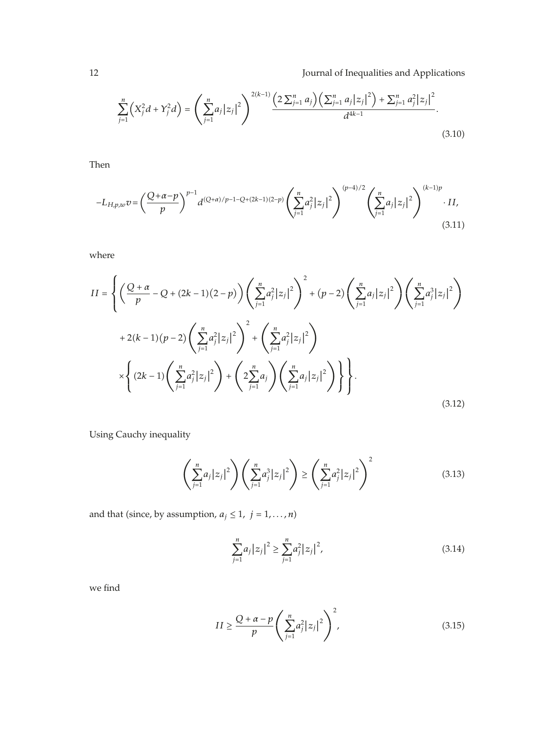$$
\sum_{j=1}^{n} \left( X_j^2 d + Y_j^2 d \right) = \left( \sum_{j=1}^{n} a_j |z_j|^2 \right)^{2(k-1)} \frac{\left( 2 \sum_{j=1}^{n} a_j \right) \left( \sum_{j=1}^{n} a_j |z_j|^2 \right) + \sum_{j=1}^{n} a_j^2 |z_j|^2}{d^{4k-1}}.
$$
\n(3.10)

Then

$$
-L_{H,p,w}v = \left(\frac{Q+\alpha-p}{p}\right)^{p-1} d^{(Q+\alpha)/p-1-Q+(2k-1)(2-p)} \left(\sum_{j=1}^{n} a_j^2 |z_j|^2\right)^{(p-4)/2} \left(\sum_{j=1}^{n} a_j |z_j|^2\right)^{(k-1)p} \cdot II,
$$
\n(3.11)

where

$$
II = \left\{ \left( \frac{Q+\alpha}{p} - Q + (2k-1)(2-p) \right) \left( \sum_{j=1}^{n} a_j^2 |z_j|^2 \right)^2 + (p-2) \left( \sum_{j=1}^{n} a_j |z_j|^2 \right) \left( \sum_{j=1}^{n} a_j^3 |z_j|^2 \right) + 2(k-1)(p-2) \left( \sum_{j=1}^{n} a_j^2 |z_j|^2 \right)^2 + \left( \sum_{j=1}^{n} a_j^2 |z_j|^2 \right)^2 + \left( \sum_{j=1}^{n} a_j^2 |z_j|^2 \right)^2 \right\} + \left( 2k - 1) \left( \sum_{j=1}^{n} a_j^2 |z_j|^2 \right) + \left( 2 \sum_{j=1}^{n} a_j \right) \left( \sum_{j=1}^{n} a_j |z_j|^2 \right) \right\}.
$$
\n(3.12)

Using Cauchy inequality

$$
\left(\sum_{j=1}^{n} a_j |z_j|^2\right) \left(\sum_{j=1}^{n} a_j^3 |z_j|^2\right) \ge \left(\sum_{j=1}^{n} a_j^2 |z_j|^2\right)^2 \tag{3.13}
$$

and that (since, by assumption,  $a_j \leq 1$ ,  $j = 1, \ldots, n$ )

$$
\sum_{j=1}^{n} a_j |z_j|^2 \ge \sum_{j=1}^{n} a_j^2 |z_j|^2,
$$
\n(3.14)

we find

$$
II \ge \frac{Q + \alpha - p}{p} \left( \sum_{j=1}^{n} a_j^2 |z_j|^2 \right)^2,
$$
\n(3.15)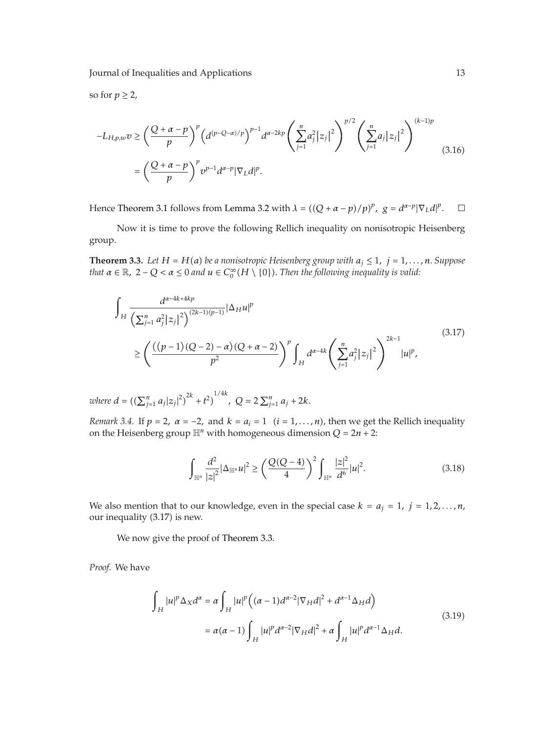so for  $p \geq 2$ ,

$$
-L_{H,p,w}v \ge \left(\frac{Q+\alpha-p}{p}\right)^p \left(d^{(p-Q-\alpha)/p}\right)^{p-1} d^{\alpha-2kp} \left(\sum_{j=1}^n a_j^2 |z_j|^2\right)^{p/2} \left(\sum_{j=1}^n a_j |z_j|^2\right)^{(k-1)p}
$$
  
=  $\left(\frac{Q+\alpha-p}{p}\right)^p v^{p-1} d^{\alpha-p} |\nabla_L d|^p.$  (3.16)

Hence Theorem 3.1 follows from Lemma 3.2 with  $\lambda = ((Q + \alpha - p)/p)^p$ ,  $g = d^{\alpha-p} |\nabla_L d|^p$ .  $\Box$ 

Now it is time to prove the following Rellich inequality on nonisotropic Heisenberg group.

**Theorem 3.3.** *Let*  $H = H(a)$  *be a nonisotropic Heisenberg group with*  $a_j \le 1$ ,  $j = 1, ..., n$ . *Suppose that*  $\alpha \in \mathbb{R}$ ,  $2 - Q < \alpha \leq 0$  and  $u \in C_0^{\infty}(H \setminus \{0\})$ . Then the following inequality is valid:

$$
\int_{H} \frac{d^{\alpha-4k+4kp}}{\left(\sum_{j=1}^{n} a_{j}^{2} |z_{j}|^{2}\right)^{(2k-1)(p-1)}} |\Delta_{H} u|^{p} \leq \left(\frac{\left((p-1)(Q-2) - \alpha\right)(Q+\alpha-2)}{p^{2}}\right)^{p} \int_{H} d^{\alpha-4k} \left(\sum_{j=1}^{n} a_{j}^{2} |z_{j}|^{2}\right)^{2k-1} |u|^{p},\tag{3.17}
$$

*where*  $d = \left( \left( \sum_{j=1}^{n} a_j |z_j|^2 \right)^{2k} + t^2 \right)^{1/4k}$ ,  $Q = 2 \sum_{j=1}^{n} a_j + 2k$ .

*Remark 3.4.* If  $p = 2$ ,  $\alpha = -2$ , and  $k = a_i = 1$   $(i = 1, ..., n)$ , then we get the Rellich inequality on the Heisenberg group  $\mathbb{H}^n$  with homogeneous dimension  $Q = 2n + 2$ :

$$
\int_{\mathbb{H}^n} \frac{d^2}{|z|^2} |\Delta_{\mathbb{H}^n} u|^2 \ge \left(\frac{Q(Q-4)}{4}\right)^2 \int_{\mathbb{H}^n} \frac{|z|^2}{d^6} |u|^2.
$$
 (3.18)

We also mention that to our knowledge, even in the special case  $k = a_j = 1$ ,  $j = 1, 2, ..., n$ , our inequality (3.17) is new.

We now give the proof of Theorem 3.3.

*Proof.* We have

$$
\int_{H} |u|^{p} \Delta_{X} d^{\alpha} = \alpha \int_{H} |u|^{p} \left( (\alpha - 1) d^{\alpha - 2} |\nabla_{H} d|^{2} + d^{\alpha - 1} \Delta_{H} d \right)
$$
\n
$$
= \alpha (\alpha - 1) \int_{H} |u|^{p} d^{\alpha - 2} |\nabla_{H} d|^{2} + \alpha \int_{H} |u|^{p} d^{\alpha - 1} \Delta_{H} d. \tag{3.19}
$$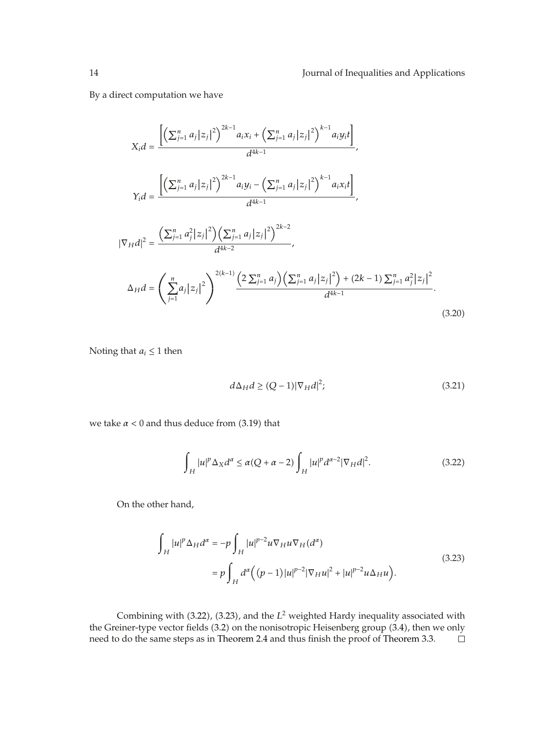By a direct computation we have

$$
X_i d = \frac{\left[ \left( \sum_{j=1}^n a_j |z_j|^2 \right)^{2k-1} a_i x_i + \left( \sum_{j=1}^n a_j |z_j|^2 \right)^{k-1} a_i y_i t \right]}{d^{4k-1}},
$$
\n
$$
Y_i d = \frac{\left[ \left( \sum_{j=1}^n a_j |z_j|^2 \right)^{2k-1} a_i y_i - \left( \sum_{j=1}^n a_j |z_j|^2 \right)^{k-1} a_i x_i t \right]}{d^{4k-1}},
$$
\n
$$
|\nabla_H d|^2 = \frac{\left( \sum_{j=1}^n a_j^2 |z_j|^2 \right) \left( \sum_{j=1}^n a_j |z_j|^2 \right)^{2k-2}}{d^{4k-2}},
$$
\n
$$
\Delta_H d = \left( \sum_{j=1}^n a_j |z_j|^2 \right)^{2(k-1)} \frac{\left( 2 \sum_{j=1}^n a_j \right) \left( \sum_{j=1}^n a_j |z_j|^2 \right) + (2k-1) \sum_{j=1}^n a_j^2 |z_j|^2}{d^{4k-1}}.
$$
\n(3.20)

Noting that  $a_i \leq 1$  then

$$
d\Delta_H d \ge (Q-1)|\nabla_H d|^2; \tag{3.21}
$$

we take  $\alpha$  < 0 and thus deduce from (3.19) that

$$
\int_{H} |u|^{p} \Delta_{X} d^{\alpha} \le \alpha (Q + \alpha - 2) \int_{H} |u|^{p} d^{\alpha - 2} |\nabla_{H} d|^{2}.
$$
\n(3.22)

On the other hand,

$$
\int_{H} |u|^{p} \Delta_{H} d^{\alpha} = -p \int_{H} |u|^{p-2} u \nabla_{H} u \nabla_{H} (d^{\alpha})
$$
\n
$$
= p \int_{H} d^{\alpha} \Big( (p-1) |u|^{p-2} |\nabla_{H} u|^{2} + |u|^{p-2} u \Delta_{H} u \Big). \tag{3.23}
$$

Combining with (3.22), (3.23), and the *L*<sup>2</sup> weighted Hardy inequality associated with the Greiner-type vector fields  $(3.2)$  on the nonisotropic Heisenberg group  $(3.4)$ , then we only need to do the same steps as in Theorem 2.4 and thus finish the proof of Theorem 3.3. $\Box$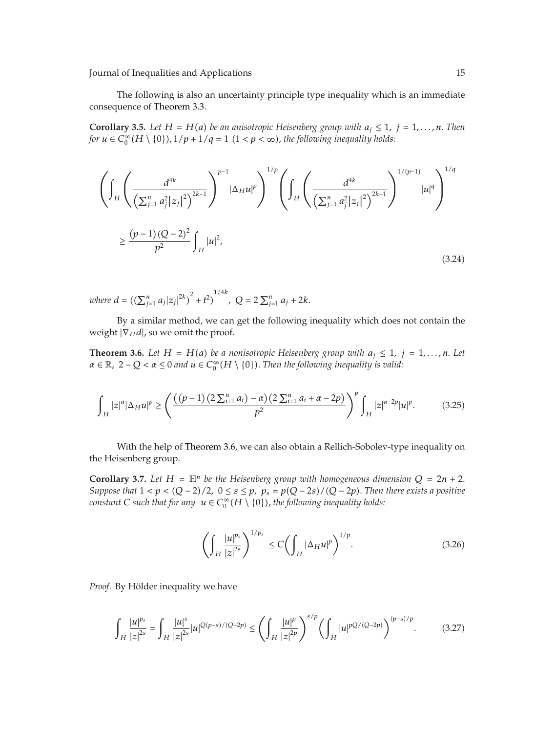The following is also an uncertainty principle type inequality which is an immediate consequence of Theorem 3.3.

**Corollary 3.5.** *Let*  $H = H(a)$  *be an anisotropic Heisenberg group with*  $a_j \le 1$ ,  $j = 1, ..., n$ . *Then for*  $u \in C_0^{\infty}(H \setminus \{0\})$ ,  $1/p + 1/q = 1$   $(1 < p < \infty)$ , the following inequality holds:

$$
\left(\int_{H} \left(\frac{d^{4k}}{\left(\sum_{j=1}^{n} a_{j}^{2} |z_{j}|^{2}\right)^{2k-1}}\right)^{p-1} |\Delta_{H}u|^{p}\right)^{1/p} \left(\int_{H} \left(\frac{d^{4k}}{\left(\sum_{j=1}^{n} a_{j}^{2} |z_{j}|^{2}\right)^{2k-1}}\right)^{1/(p-1)} |u|^{q}\right)^{1/q}
$$
\n
$$
\geq \frac{(p-1)(Q-2)^{2}}{p^{2}} \int_{H} |u|^{2},\tag{3.24}
$$

*where*  $d = \left( (\sum_{j=1}^n a_j |z_j|^{2k})^2 + t^2 \right)^{1/4k}$ ,  $Q = 2 \sum_{j=1}^n a_j + 2k$ .

By a similar method, we can get the following inequality which does not contain the weight  $|\nabla_H d|$ , so we omit the proof.

**Theorem 3.6.** *Let*  $H = H(a)$  *be a nonisotropic Heisenberg group with*  $a_j \le 1$ ,  $j = 1, \ldots, n$ . *Let*  $\alpha \in \mathbb{R}$ ,  $2 - Q < \alpha \leq 0$  and  $u \in C_0^{\infty}(H \setminus \{0\})$ . Then the following inequality is valid:

$$
\int_{H} |z|^{\alpha} |\Delta_{H} u|^{p} \ge \left( \frac{((p-1)(2\sum_{i=1}^{n} a_{i}) - \alpha)(2\sum_{i=1}^{n} a_{i} + \alpha - 2p)}{p^{2}} \right)^{p} \int_{H} |z|^{\alpha - 2p} |u|^{p}.
$$
 (3.25)

With the help of Theorem 3.6, we can also obtain a Rellich-Sobolev-type inequality on the Heisenberg group.

**Corollary 3.7.** Let  $H = \mathbb{H}^n$  be the Heisenberg group with homogeneous dimension  $Q = 2n + 2$ . *Suppose that*  $1 < p < (Q - 2)/2$ ,  $0 \le s \le p$ ,  $p_s = p(Q - 2s) / (Q - 2p)$ . Then there exists a positive  $\alpha$  *constant*  $C$  *such that for any*  $u \in C_0^\infty(H \setminus \{0\})$ *, the following inequality holds:* 

$$
\left(\int_H \frac{|u|^{p_s}}{|z|^{2s}}\right)^{1/p_s} \le C \left(\int_H |\Delta_H u|^p\right)^{1/p}.\tag{3.26}
$$

*Proof.* By Hölder inequality we have

$$
\int_H \frac{|u|^{p_s}}{|z|^{2s}} = \int_H \frac{|u|^s}{|z|^{2s}} |u|^{Q(p-s)/(Q-2p)} \le \left(\int_H \frac{|u|^p}{|z|^{2p}}\right)^{s/p} \left(\int_H |u|^{pQ/(Q-2p)}\right)^{(p-s)/p}.\tag{3.27}
$$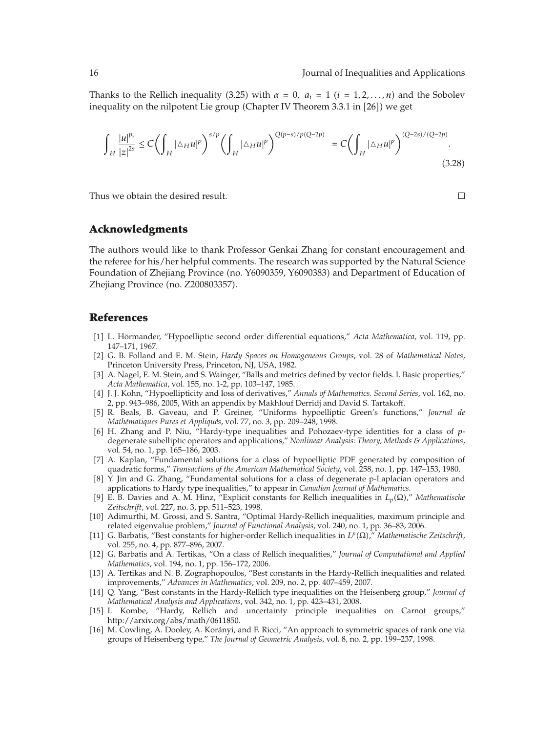Thanks to the Rellich inequality (3.25) with  $\alpha = 0$ ,  $a_i = 1$  ( $i = 1, 2, ..., n$ ) and the Sobolev inequality on the nilpotent Lie group (Chapter IV Theorem  $3.3.1$  in  $[26]$ ) we get

$$
\int_{H} \frac{|u|^{p_{s}}}{|z|^{2s}} \leq C \left( \int_{H} |\Delta_{H} u|^{p} \right)^{s/p} \left( \int_{H} |\Delta_{H} u|^{p} \right)^{Q(p-s)/p(Q-2p)} = C \left( \int_{H} |\Delta_{H} u|^{p} \right)^{(Q-2s)/(Q-2p)}.
$$
\n(3.28)

Thus we obtain the desired result.

#### **Acknowledgments**

The authors would like to thank Professor Genkai Zhang for constant encouragement and the referee for his/her helpful comments. The research was supported by the Natural Science Foundation of Zhejiang Province (no. Y6090359, Y6090383) and Department of Education of Zhejiang Province (no. Z200803357).

#### **References**

- [1] L. Hörmander, "Hypoelliptic second order differential equations," Acta Mathematica, vol. 119, pp. 147–171, 1967.
- 2 G. B. Folland and E. M. Stein, *Hardy Spaces on Homogeneous Groups*, vol. 28 of *Mathematical Notes*, Princeton University Press, Princeton, NJ, USA, 1982.
- [3] A. Nagel, E. M. Stein, and S. Wainger, "Balls and metrics defined by vector fields. I. Basic properties," *Acta Mathematica*, vol. 155, no. 1-2, pp. 103–147, 1985.
- 4 J. J. Kohn, "Hypoellipticity and loss of derivatives," *Annals of Mathematics. Second Series*, vol. 162, no. 2, pp. 943–986, 2005, With an appendix by Makhlouf Derridj and David S. Tartakoff.
- 5 R. Beals, B. Gaveau, and P. Greiner, "Uniforms hypoelliptic Green's functions," *Journal de Mathématiques Pures et Appliqués, vol. 77, no. 3, pp. 209-248, 1998.*
- 6 H. Zhang and P. Niu, "Hardy-type inequalities and Pohozaev-type identities for a class of *p*degenerate subelliptic operators and applications," *Nonlinear Analysis: Theory, Methods & Applications*, vol. 54, no. 1, pp. 165–186, 2003.
- 7 A. Kaplan, "Fundamental solutions for a class of hypoelliptic PDE generated by composition of quadratic forms," *Transactions of the American Mathematical Society*, vol. 258, no. 1, pp. 147–153, 1980.
- [8] Y. Jin and G. Zhang, "Fundamental solutions for a class of degenerate p-Laplacian operators and applications to Hardy type inequalities," to appear in *Canadian Journal of Mathematics*.
- 9 E. B. Davies and A. M. Hinz, "Explicit constants for Rellich inequalities in *Lp*Ω," *Mathematische Zeitschrift*, vol. 227, no. 3, pp. 511–523, 1998.
- 10 Adimurthi, M. Grossi, and S. Santra, "Optimal Hardy-Rellich inequalities, maximum principle and related eigenvalue problem," *Journal of Functional Analysis*, vol. 240, no. 1, pp. 36–83, 2006.
- 11 G. Barbatis, "Best constants for higher-order Rellich inequalities in *Lp*Ω," *Mathematische Zeitschrift*, vol. 255, no. 4, pp. 877–896, 2007.
- 12 G. Barbatis and A. Tertikas, "On a class of Rellich inequalities," *Journal of Computational and Applied Mathematics*, vol. 194, no. 1, pp. 156–172, 2006.
- 13 A. Tertikas and N. B. Zographopoulos, "Best constants in the Hardy-Rellich inequalities and related improvements," *Advances in Mathematics*, vol. 209, no. 2, pp. 407–459, 2007.
- 14 Q. Yang, "Best constants in the Hardy-Rellich type inequalities on the Heisenberg group," *Journal of Mathematical Analysis and Applications*, vol. 342, no. 1, pp. 423–431, 2008.
- 15 I. Kombe, "Hardy, Rellich and uncertainty principle inequalities on Carnot groups," http://arxiv.org/abs/math/0611850.
- [16] M. Cowling, A. Dooley, A. Korányi, and F. Ricci, "An approach to symmetric spaces of rank one via groups of Heisenberg type," *The Journal of Geometric Analysis*, vol. 8, no. 2, pp. 199–237, 1998.

 $\Box$